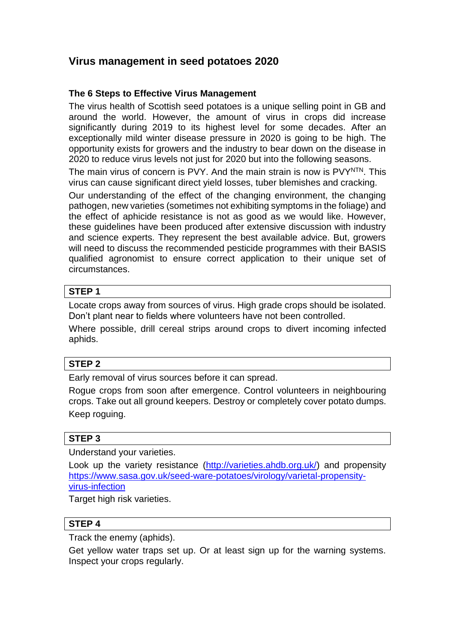# **Virus management in seed potatoes 2020**

# **The 6 Steps to Effective Virus Management**

The virus health of Scottish seed potatoes is a unique selling point in GB and around the world. However, the amount of virus in crops did increase significantly during 2019 to its highest level for some decades. After an exceptionally mild winter disease pressure in 2020 is going to be high. The opportunity exists for growers and the industry to bear down on the disease in 2020 to reduce virus levels not just for 2020 but into the following seasons.

The main virus of concern is PVY. And the main strain is now is PVYNTN. This virus can cause significant direct yield losses, tuber blemishes and cracking.

Our understanding of the effect of the changing environment, the changing pathogen, new varieties (sometimes not exhibiting symptoms in the foliage) and the effect of aphicide resistance is not as good as we would like. However, these guidelines have been produced after extensive discussion with industry and science experts. They represent the best available advice. But, growers will need to discuss the recommended pesticide programmes with their BASIS qualified agronomist to ensure correct application to their unique set of circumstances.

# **STEP 1**

Locate crops away from sources of virus. High grade crops should be isolated. Don't plant near to fields where volunteers have not been controlled.

Where possible, drill cereal strips around crops to divert incoming infected aphids.

# **STEP 2**

Early removal of virus sources before it can spread.

Rogue crops from soon after emergence. Control volunteers in neighbouring crops. Take out all ground keepers. Destroy or completely cover potato dumps. Keep roguing.

# **STEP 3**

Understand your varieties.

Look up the variety resistance [\(http://varieties.ahdb.org.uk/\)](http://varieties.ahdb.org.uk/) and propensity [https://www.sasa.gov.uk/seed-ware-potatoes/virology/varietal-propensity](https://www.sasa.gov.uk/seed-ware-potatoes/virology/varietal-propensity-virus-infection)[virus-infection](https://www.sasa.gov.uk/seed-ware-potatoes/virology/varietal-propensity-virus-infection)

Target high risk varieties.

# **STEP 4**

Track the enemy (aphids).

Get yellow water traps set up. Or at least sign up for the warning systems. Inspect your crops regularly.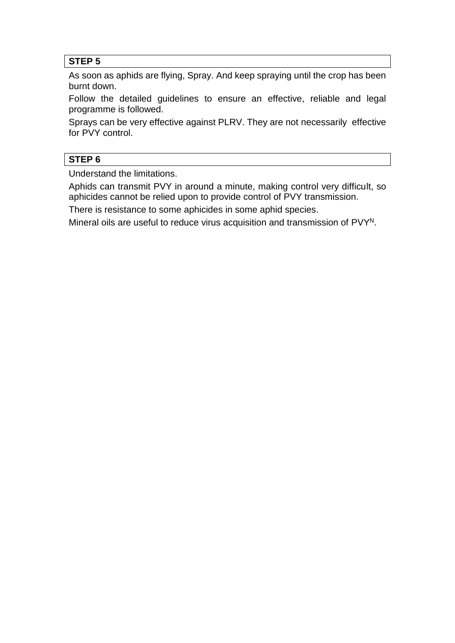# **STEP 5**

As soon as aphids are flying, Spray. And keep spraying until the crop has been burnt down.

Follow the detailed guidelines to ensure an effective, reliable and legal programme is followed.

Sprays can be very effective against PLRV. They are not necessarily effective for PVY control.

# **STEP 6**

Understand the limitations.

Aphids can transmit PVY in around a minute, making control very difficult, so aphicides cannot be relied upon to provide control of PVY transmission.

There is resistance to some aphicides in some aphid species.

Mineral oils are useful to reduce virus acquisition and transmission of PVY<sup>N</sup>.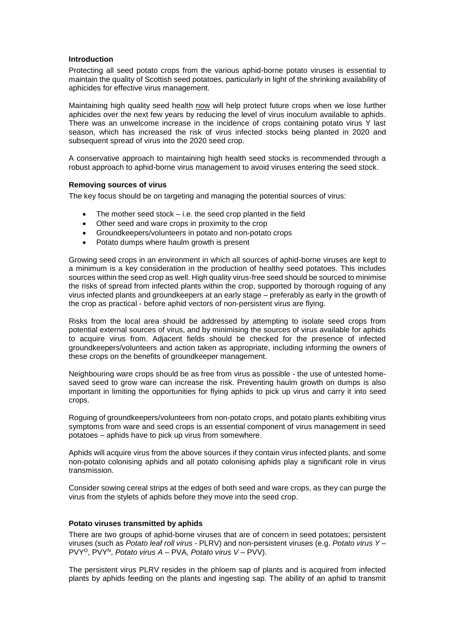## **Introduction**

Protecting all seed potato crops from the various aphid-borne potato viruses is essential to maintain the quality of Scottish seed potatoes, particularly in light of the shrinking availability of aphicides for effective virus management.

Maintaining high quality seed health now will help protect future crops when we lose further aphicides over the next few years by reducing the level of virus inoculum available to aphids. There was an unwelcome increase in the incidence of crops containing potato virus Y last season, which has increased the risk of virus infected stocks being planted in 2020 and subsequent spread of virus into the 2020 seed crop.

A conservative approach to maintaining high health seed stocks is recommended through a robust approach to aphid-borne virus management to avoid viruses entering the seed stock.

#### **Removing sources of virus**

The key focus should be on targeting and managing the potential sources of virus:

- The mother seed stock i.e. the seed crop planted in the field
- Other seed and ware crops in proximity to the crop
- Groundkeepers/volunteers in potato and non-potato crops
- Potato dumps where haulm growth is present

Growing seed crops in an environment in which all sources of aphid-borne viruses are kept to a minimum is a key consideration in the production of healthy seed potatoes. This includes sources within the seed crop as well. High quality virus-free seed should be sourced to minimise the risks of spread from infected plants within the crop, supported by thorough roguing of any virus infected plants and groundkeepers at an early stage – preferably as early in the growth of the crop as practical - before aphid vectors of non-persistent virus are flying.

Risks from the local area should be addressed by attempting to isolate seed crops from potential external sources of virus, and by minimising the sources of virus available for aphids to acquire virus from. Adjacent fields should be checked for the presence of infected groundkeepers/volunteers and action taken as appropriate, including informing the owners of these crops on the benefits of groundkeeper management.

Neighbouring ware crops should be as free from virus as possible - the use of untested homesaved seed to grow ware can increase the risk. Preventing haulm growth on dumps is also important in limiting the opportunities for flying aphids to pick up virus and carry it into seed crops.

Roguing of groundkeepers/volunteers from non-potato crops, and potato plants exhibiting virus symptoms from ware and seed crops is an essential component of virus management in seed potatoes – aphids have to pick up virus from somewhere.

Aphids will acquire virus from the above sources if they contain virus infected plants, and some non-potato colonising aphids and all potato colonising aphids play a significant role in virus transmission.

Consider sowing cereal strips at the edges of both seed and ware crops, as they can purge the virus from the stylets of aphids before they move into the seed crop.

#### **Potato viruses transmitted by aphids**

There are two groups of aphid-borne viruses that are of concern in seed potatoes; persistent viruses (such as *Potato leaf roll virus* - PLRV) and non-persistent viruses (e.g. *Potato virus Y* – PVY<sup>O</sup>, PVY<sup>N</sup>, *Potato virus A* – PVA, *Potato virus V* – PVV).

The persistent virus PLRV resides in the phloem sap of plants and is acquired from infected plants by aphids feeding on the plants and ingesting sap. The ability of an aphid to transmit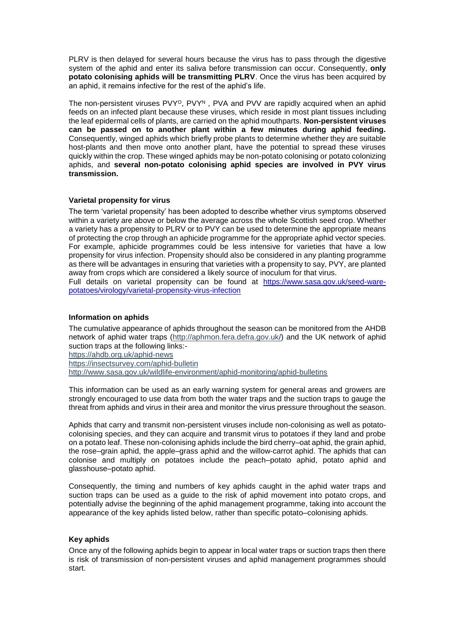PLRV is then delayed for several hours because the virus has to pass through the digestive system of the aphid and enter its saliva before transmission can occur. Consequently, **only potato colonising aphids will be transmitting PLRV**. Once the virus has been acquired by an aphid, it remains infective for the rest of the aphid's life.

The non-persistent viruses PVY<sup>O</sup>, PVY<sup>N</sup>, PVA and PVV are rapidly acquired when an aphid feeds on an infected plant because these viruses, which reside in most plant tissues including the leaf epidermal cells of plants, are carried on the aphid mouthparts. **Non-persistent viruses can be passed on to another plant within a few minutes during aphid feeding.** Consequently, winged aphids which briefly probe plants to determine whether they are suitable host-plants and then move onto another plant, have the potential to spread these viruses quickly within the crop. These winged aphids may be non-potato colonising or potato colonizing aphids, and **several non-potato colonising aphid species are involved in PVY virus transmission.**

# **Varietal propensity for virus**

The term 'varietal propensity' has been adopted to describe whether virus symptoms observed within a variety are above or below the average across the whole Scottish seed crop. Whether a variety has a propensity to PLRV or to PVY can be used to determine the appropriate means of protecting the crop through an aphicide programme for the appropriate aphid vector species. For example, aphicide programmes could be less intensive for varieties that have a low propensity for virus infection. Propensity should also be considered in any planting programme as there will be advantages in ensuring that varieties with a propensity to say, PVY, are planted away from crops which are considered a likely source of inoculum for that virus.

Full details on varietal propensity can be found at [https://www.sasa.gov.uk/seed-ware](https://www.sasa.gov.uk/seed-ware-potatoes/virology/varietal-propensity-virus-infection)[potatoes/virology/varietal-propensity-virus-infection](https://www.sasa.gov.uk/seed-ware-potatoes/virology/varietal-propensity-virus-infection)

## **Information on aphids**

The cumulative appearance of aphids throughout the season can be monitored from the AHDB network of aphid water traps [\(http://aphmon.fera.defra.gov.uk/\)](http://aphmon.fera.defra.gov.uk/) and the UK network of aphid suction traps at the following links:-

<https://ahdb.org.uk/aphid-news>

<https://insectsurvey.com/aphid-bulletin>

<http://www.sasa.gov.uk/wildlife-environment/aphid-monitoring/aphid-bulletins>

This information can be used as an early warning system for general areas and growers are strongly encouraged to use data from both the water traps and the suction traps to gauge the threat from aphids and virus in their area and monitor the virus pressure throughout the season.

Aphids that carry and transmit non-persistent viruses include non-colonising as well as potatocolonising species, and they can acquire and transmit virus to potatoes if they land and probe on a potato leaf. These non-colonising aphids include the bird cherry–oat aphid, the grain aphid, the rose–grain aphid, the apple–grass aphid and the willow-carrot aphid. The aphids that can colonise and multiply on potatoes include the peach–potato aphid, potato aphid and glasshouse–potato aphid.

Consequently, the timing and numbers of key aphids caught in the aphid water traps and suction traps can be used as a guide to the risk of aphid movement into potato crops, and potentially advise the beginning of the aphid management programme, taking into account the appearance of the key aphids listed below, rather than specific potato–colonising aphids.

## **Key aphids**

Once any of the following aphids begin to appear in local water traps or suction traps then there is risk of transmission of non-persistent viruses and aphid management programmes should start.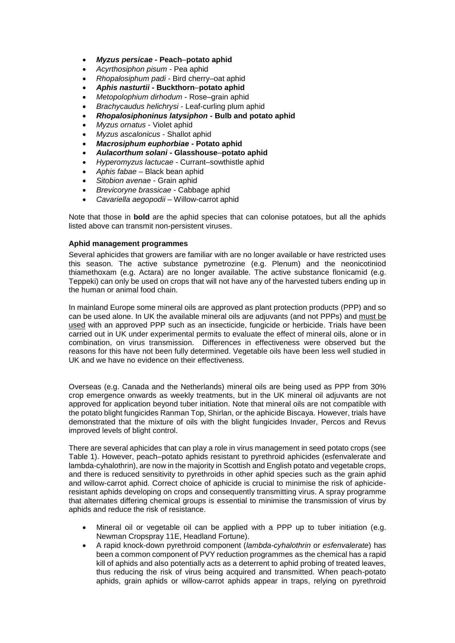- *Myzus persicae* **- Peach**–**potato aphid**
- *Acyrthosiphon pisum* Pea aphid
- *Rhopalosiphum padi* Bird cherry–oat aphid
- *Aphis nasturtii* **- Buckthorn**–**potato aphid**
- *Metopolophium dirhodum* Rose–grain aphid
- *Brachycaudus helichrysi* Leaf-curling plum aphid
- *Rhopalosiphoninus latysiphon* **- Bulb and potato aphid**
- *Myzus ornatus* Violet aphid
- *Myzus ascalonicus* Shallot aphid
- *Macrosiphum euphorbiae* **- Potato aphid**
- *Aulacorthum solani* **- Glasshouse**–**potato aphid**
- *Hyperomyzus lactucae* Currant–sowthistle aphid
- *Aphis fabae* Black bean aphid
- *Sitobion avenae* Grain aphid
- *Brevicoryne brassicae* Cabbage aphid
- *Cavariella aegopodii* Willow-carrot aphid

Note that those in **bold** are the aphid species that can colonise potatoes, but all the aphids listed above can transmit non-persistent viruses.

## **Aphid management programmes**

Several aphicides that growers are familiar with are no longer available or have restricted uses this season. The active substance pymetrozine (e.g. Plenum) and the neonicotiniod thiamethoxam (e.g. Actara) are no longer available. The active substance flonicamid (e.g. Teppeki) can only be used on crops that will not have any of the harvested tubers ending up in the human or animal food chain.

In mainland Europe some mineral oils are approved as plant protection products (PPP) and so can be used alone. In UK the available mineral oils are adjuvants (and not PPPs) and must be used with an approved PPP such as an insecticide, fungicide or herbicide. Trials have been carried out in UK under experimental permits to evaluate the effect of mineral oils, alone or in combination, on virus transmission. Differences in effectiveness were observed but the reasons for this have not been fully determined. Vegetable oils have been less well studied in UK and we have no evidence on their effectiveness.

Overseas (e.g. Canada and the Netherlands) mineral oils are being used as PPP from 30% crop emergence onwards as weekly treatments, but in the UK mineral oil adjuvants are not approved for application beyond tuber initiation. Note that mineral oils are not compatible with the potato blight fungicides Ranman Top, Shirlan, or the aphicide Biscaya. However, trials have demonstrated that the mixture of oils with the blight fungicides Invader, Percos and Revus improved levels of blight control.

There are several aphicides that can play a role in virus management in seed potato crops (see Table 1). However, peach–potato aphids resistant to pyrethroid aphicides (esfenvalerate and lambda-cyhalothrin), are now in the majority in Scottish and English potato and vegetable crops, and there is reduced sensitivity to pyrethroids in other aphid species such as the grain aphid and willow-carrot aphid. Correct choice of aphicide is crucial to minimise the risk of aphicideresistant aphids developing on crops and consequently transmitting virus. A spray programme that alternates differing chemical groups is essential to minimise the transmission of virus by aphids and reduce the risk of resistance.

- Mineral oil or vegetable oil can be applied with a PPP up to tuber initiation (e.g. Newman Cropspray 11E, Headland Fortune).
- A rapid knock-down pyrethroid component (*lambda-cyhalothrin* or *esfenvalerate*) has been a common component of PVY reduction programmes as the chemical has a rapid kill of aphids and also potentially acts as a deterrent to aphid probing of treated leaves, thus reducing the risk of virus being acquired and transmitted. When peach-potato aphids, grain aphids or willow-carrot aphids appear in traps, relying on pyrethroid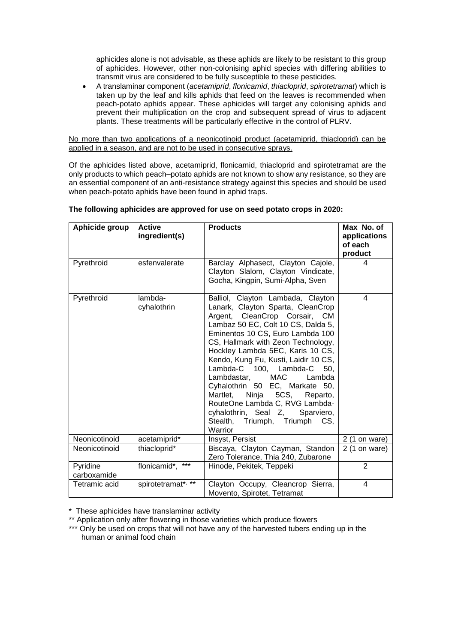aphicides alone is not advisable, as these aphids are likely to be resistant to this group of aphicides. However, other non-colonising aphid species with differing abilities to transmit virus are considered to be fully susceptible to these pesticides.

 A translaminar component (*acetamiprid*, *flonicamid*, *thiacloprid*, *spirotetramat*) which is taken up by the leaf and kills aphids that feed on the leaves is recommended when peach-potato aphids appear. These aphicides will target any colonising aphids and prevent their multiplication on the crop and subsequent spread of virus to adjacent plants. These treatments will be particularly effective in the control of PLRV.

No more than two applications of a neonicotinoid product (acetamiprid, thiacloprid) can be applied in a season, and are not to be used in consecutive sprays.

Of the aphicides listed above, acetamiprid, flonicamid, thiacloprid and spirotetramat are the only products to which peach–potato aphids are not known to show any resistance, so they are an essential component of an anti-resistance strategy against this species and should be used when peach-potato aphids have been found in aphid traps.

| Aphicide group          | <b>Active</b><br>ingredient(s) | <b>Products</b>                                                                                                                                                                                                                                                                                                                                                                                                                                                                                                                                   | Max No. of<br>applications<br>of each<br>product |
|-------------------------|--------------------------------|---------------------------------------------------------------------------------------------------------------------------------------------------------------------------------------------------------------------------------------------------------------------------------------------------------------------------------------------------------------------------------------------------------------------------------------------------------------------------------------------------------------------------------------------------|--------------------------------------------------|
| Pyrethroid              | esfenvalerate                  | Barclay Alphasect, Clayton Cajole,<br>Clayton Slalom, Clayton Vindicate,<br>Gocha, Kingpin, Sumi-Alpha, Sven                                                                                                                                                                                                                                                                                                                                                                                                                                      | 4                                                |
| Pyrethroid              | lambda-<br>cyhalothrin         | Balliol, Clayton Lambada, Clayton<br>Lanark, Clayton Sparta, CleanCrop<br>Argent, CleanCrop Corsair, CM<br>Lambaz 50 EC, Colt 10 CS, Dalda 5,<br>Eminentos 10 CS, Euro Lambda 100<br>CS, Hallmark with Zeon Technology,<br>Hockley Lambda 5EC, Karis 10 CS,<br>Kendo, Kung Fu, Kusti, Laidir 10 CS,<br>Lambda-C 100, Lambda-C 50,<br>Lambdastar, MAC<br>Lambda<br>Cyhalothrin 50 EC, Markate 50,<br>Martlet, Ninja 5CS, Reparto,<br>RouteOne Lambda C, RVG Lambda-<br>cyhalothrin, Seal Z, Sparviero,<br>Stealth, Triumph, Triumph CS,<br>Warrior | 4                                                |
| Neonicotinoid           | acetamiprid*                   | Insyst, Persist                                                                                                                                                                                                                                                                                                                                                                                                                                                                                                                                   | $2(1)$ on ware)                                  |
| Neonicotinoid           | thiacloprid*                   | Biscaya, Clayton Cayman, Standon<br>Zero Tolerance, Thia 240, Zubarone                                                                                                                                                                                                                                                                                                                                                                                                                                                                            | $2(1)$ on ware)                                  |
| Pyridine<br>carboxamide | $***$<br>flonicamid*,          | Hinode, Pekitek, Teppeki                                                                                                                                                                                                                                                                                                                                                                                                                                                                                                                          | $\overline{2}$                                   |
| Tetramic acid           | spirotetramat*, **             | Clayton Occupy, Cleancrop Sierra,<br>Movento, Spirotet, Tetramat                                                                                                                                                                                                                                                                                                                                                                                                                                                                                  | 4                                                |

## **The following aphicides are approved for use on seed potato crops in 2020:**

\* These aphicides have translaminar activity

\*\* Application only after flowering in those varieties which produce flowers

\*\*\* Only be used on crops that will not have any of the harvested tubers ending up in the human or animal food chain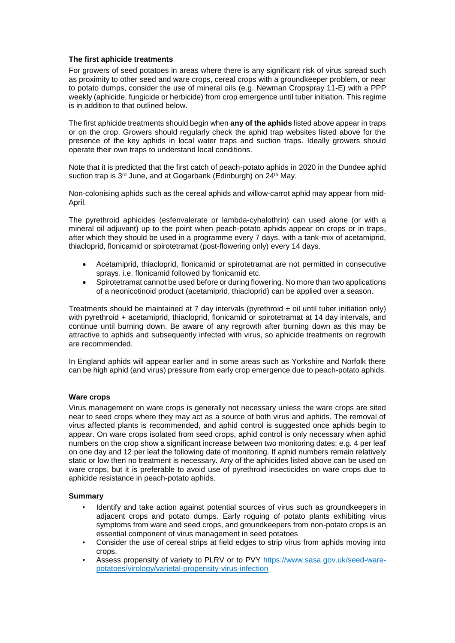# **The first aphicide treatments**

For growers of seed potatoes in areas where there is any significant risk of virus spread such as proximity to other seed and ware crops, cereal crops with a groundkeeper problem, or near to potato dumps, consider the use of mineral oils (e.g. Newman Cropspray 11-E) with a PPP weekly (aphicide, fungicide or herbicide) from crop emergence until tuber initiation. This regime is in addition to that outlined below.

The first aphicide treatments should begin when **any of the aphids** listed above appear in traps or on the crop. Growers should regularly check the aphid trap websites listed above for the presence of the key aphids in local water traps and suction traps. Ideally growers should operate their own traps to understand local conditions.

Note that it is predicted that the first catch of peach-potato aphids in 2020 in the Dundee aphid suction trap is 3<sup>rd</sup> June, and at Gogarbank (Edinburgh) on 24<sup>th</sup> May.

Non-colonising aphids such as the cereal aphids and willow-carrot aphid may appear from mid-April.

The pyrethroid aphicides (esfenvalerate or lambda-cyhalothrin) can used alone (or with a mineral oil adjuvant) up to the point when peach-potato aphids appear on crops or in traps, after which they should be used in a programme every 7 days, with a tank-mix of acetamiprid, thiacloprid, flonicamid or spirotetramat (post-flowering only) every 14 days.

- Acetamiprid, thiacloprid, flonicamid or spirotetramat are not permitted in consecutive sprays. i.e. flonicamid followed by flonicamid etc.
- Spirotetramat cannot be used before or during flowering. No more than two applications of a neonicotinoid product (acetamiprid, thiacloprid) can be applied over a season.

Treatments should be maintained at 7 day intervals (pyrethroid  $\pm$  oil until tuber initiation only) with pyrethroid + acetamiprid, thiacloprid, flonicamid or spirotetramat at 14 day intervals, and continue until burning down. Be aware of any regrowth after burning down as this may be attractive to aphids and subsequently infected with virus, so aphicide treatments on regrowth are recommended.

In England aphids will appear earlier and in some areas such as Yorkshire and Norfolk there can be high aphid (and virus) pressure from early crop emergence due to peach-potato aphids.

# **Ware crops**

Virus management on ware crops is generally not necessary unless the ware crops are sited near to seed crops where they may act as a source of both virus and aphids. The removal of virus affected plants is recommended, and aphid control is suggested once aphids begin to appear. On ware crops isolated from seed crops, aphid control is only necessary when aphid numbers on the crop show a significant increase between two monitoring dates; e.g. 4 per leaf on one day and 12 per leaf the following date of monitoring. If aphid numbers remain relatively static or low then no treatment is necessary. Any of the aphicides listed above can be used on ware crops, but it is preferable to avoid use of pyrethroid insecticides on ware crops due to aphicide resistance in peach-potato aphids.

## **Summary**

- Identify and take action against potential sources of virus such as groundkeepers in adjacent crops and potato dumps. Early roguing of potato plants exhibiting virus symptoms from ware and seed crops, and groundkeepers from non-potato crops is an essential component of virus management in seed potatoes
- Consider the use of cereal strips at field edges to strip virus from aphids moving into crops.
- Assess propensity of variety to PLRV or to PVY [https://www.sasa.gov.uk/seed-ware](https://www.sasa.gov.uk/seed-ware-potatoes/virology/varietal-propensity-virus-infection)[potatoes/virology/varietal-propensity-virus-infection](https://www.sasa.gov.uk/seed-ware-potatoes/virology/varietal-propensity-virus-infection)